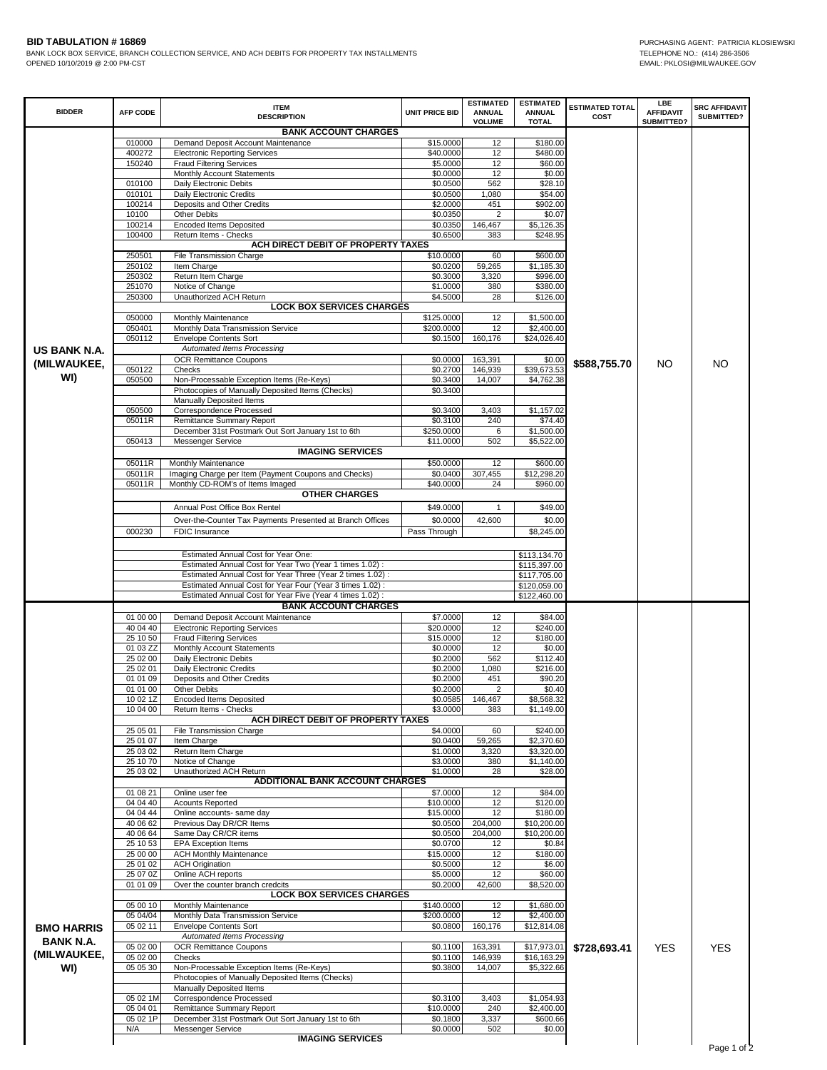**BID TABULATION #16869**<br>BANK LOCK BOX SERVICE, BRANCH COLLECTION SERVICE, AND ACH DEBITS FOR PROPERTY TAX INSTALLMENTS<br>OPENED 10/10/2019 @ 2:00 PM-CST COLLECTION SERVICE, AND ACH DEBITS FOR PROPERTY TAX INSTALLMENTS<br>OPENED BANK LOCK BOX SERVICE, BRANCH COLLECTION SERVICE, AND ACH DEBITS FOR PROPERTY TAX INSTALLMENTS OPENED 10/10/2019 @ 2:00 PM-CST

|                   | <b>AFP CODE</b>      | <b>ITEM</b><br><b>DESCRIPTION</b>                                                                                     | <b>UNIT PRICE BID</b>  | <b>ESTIMATED</b><br><b>ANNUAL</b><br><b>VOLUME</b> | <b>ESTIMATED</b><br><b>ANNUAL</b><br><b>TOTAL</b> | <b>ESTIMATED TOTAL</b><br>COST | LBE<br><b>AFFIDAVIT</b><br>SUBMITTED? | <b>SRC AFFIDAVIT</b><br>SUBMITTED? |
|-------------------|----------------------|-----------------------------------------------------------------------------------------------------------------------|------------------------|----------------------------------------------------|---------------------------------------------------|--------------------------------|---------------------------------------|------------------------------------|
|                   |                      | <b>BANK ACCOUNT CHARGES</b>                                                                                           |                        |                                                    |                                                   |                                |                                       |                                    |
|                   | 010000               | Demand Deposit Account Maintenance                                                                                    | \$15,0000              | 12                                                 | \$180.00                                          |                                |                                       |                                    |
|                   | 400272               | <b>Electronic Reporting Services</b>                                                                                  | \$40.0000              | 12                                                 | \$480.00                                          |                                |                                       |                                    |
|                   | 150240               | <b>Fraud Filtering Services</b>                                                                                       | \$5.0000               | 12                                                 | \$60.00                                           |                                |                                       |                                    |
|                   |                      | Monthly Account Statements                                                                                            | \$0.0000               | 12                                                 | \$0.00                                            |                                |                                       |                                    |
|                   | 010100               | Daily Electronic Debits                                                                                               | \$0.0500               | 562                                                | \$28.10                                           |                                |                                       |                                    |
|                   | 010101               | Daily Electronic Credits                                                                                              | \$0.0500               | 1,080                                              | \$54.00                                           |                                |                                       |                                    |
|                   | 100214               | Deposits and Other Credits                                                                                            | \$2.0000               | 451                                                | \$902.00                                          |                                |                                       |                                    |
|                   | 10100                | Other Debits                                                                                                          | \$0.0350               | 2                                                  | \$0.07                                            |                                |                                       |                                    |
|                   | 100214<br>100400     | <b>Encoded Items Deposited</b><br>Return Items - Checks                                                               | \$0.0350<br>\$0.6500   | 146,467<br>383                                     | \$5,126.35<br>\$248.95                            |                                |                                       |                                    |
|                   |                      | ACH DIRECT DEBIT OF PROPERTY TAXES                                                                                    |                        |                                                    |                                                   |                                |                                       |                                    |
|                   | 250501               | File Transmission Charge                                                                                              | \$10.0000              | 60                                                 | \$600.00                                          |                                |                                       |                                    |
|                   | 250102               | Item Charge                                                                                                           | \$0.0200               | 59,265                                             | \$1,185.30                                        |                                |                                       |                                    |
|                   | 250302               | Return Item Charge                                                                                                    | \$0.3000               | 3,320                                              | \$996.00                                          |                                |                                       |                                    |
|                   | 251070               | Notice of Change                                                                                                      | \$1.0000               | 380                                                | \$380.00                                          |                                |                                       |                                    |
|                   | 250300               | Unauthorized ACH Return                                                                                               | \$4.5000               | 28                                                 | \$126.00                                          |                                |                                       |                                    |
|                   |                      | <b>LOCK BOX SERVICES CHARGES</b>                                                                                      |                        |                                                    |                                                   |                                |                                       |                                    |
|                   | 050000               | Monthly Maintenance                                                                                                   | \$125.0000             | 12                                                 | \$1,500.00                                        |                                |                                       |                                    |
|                   | 050401<br>050112     | Monthly Data Transmission Service<br><b>Envelope Contents Sort</b>                                                    | \$200.0000<br>\$0.1500 | 12<br>160,176                                      | \$2,400.00<br>\$24,026.40                         |                                |                                       |                                    |
|                   |                      | Automated Items Processing                                                                                            |                        |                                                    |                                                   |                                |                                       |                                    |
| US BANK N.A.      |                      | <b>OCR Remittance Coupons</b>                                                                                         | \$0.0000               | 163,391                                            | \$0.00                                            |                                |                                       |                                    |
| (MILWAUKEE,       | 050122               | Checks                                                                                                                | \$0.2700               | 146,939                                            | \$39,673.53                                       | \$588,755.70                   | NO                                    | <b>NO</b>                          |
| WI)               | 050500               | Non-Processable Exception Items (Re-Keys)                                                                             | \$0.3400               | 14,007                                             | \$4,762.38                                        |                                |                                       |                                    |
|                   |                      | Photocopies of Manually Deposited Items (Checks)                                                                      | \$0.3400               |                                                    |                                                   |                                |                                       |                                    |
|                   |                      | Manually Deposited Items                                                                                              |                        |                                                    |                                                   |                                |                                       |                                    |
|                   | 050500               | Correspondence Processed                                                                                              | \$0.3400               | 3,403                                              | \$1,157.02                                        |                                |                                       |                                    |
|                   | 05011R               | Remittance Summary Report                                                                                             | \$0.3100               | 240                                                | \$74.40                                           |                                |                                       |                                    |
|                   |                      | December 31st Postmark Out Sort January 1st to 6th                                                                    | \$250.0000             | 6                                                  | \$1,500.00                                        |                                |                                       |                                    |
|                   | 050413               | Messenger Service                                                                                                     | \$11.0000              | 502                                                | \$5,522.00                                        |                                |                                       |                                    |
|                   |                      | <b>IMAGING SERVICES</b><br>Monthly Maintenance                                                                        |                        | 12                                                 |                                                   |                                |                                       |                                    |
|                   | 05011R<br>05011R     | Imaging Charge per Item (Payment Coupons and Checks)                                                                  | \$50.0000<br>\$0.0400  | 307,455                                            | \$600.00<br>\$12,298.20                           |                                |                                       |                                    |
|                   | 05011R               | Monthly CD-ROM's of Items Imaged                                                                                      | \$40.0000              | 24                                                 | \$960.00                                          |                                |                                       |                                    |
|                   |                      | <b>OTHER CHARGES</b>                                                                                                  |                        |                                                    |                                                   |                                |                                       |                                    |
|                   |                      | Annual Post Office Box Rentel                                                                                         | \$49.0000              | 1                                                  | \$49.00                                           |                                |                                       |                                    |
|                   |                      |                                                                                                                       |                        |                                                    |                                                   |                                |                                       |                                    |
|                   |                      | Over-the-Counter Tax Payments Presented at Branch Offices                                                             | \$0.0000               | 42,600                                             | \$0.00                                            |                                |                                       |                                    |
|                   | 000230               | FDIC Insurance                                                                                                        | Pass Through           |                                                    | \$8,245.00                                        |                                |                                       |                                    |
|                   |                      |                                                                                                                       |                        |                                                    |                                                   |                                |                                       |                                    |
|                   |                      |                                                                                                                       |                        |                                                    |                                                   |                                |                                       |                                    |
|                   |                      | Estimated Annual Cost for Year One:                                                                                   |                        |                                                    | \$113,134.70                                      |                                |                                       |                                    |
|                   |                      | Estimated Annual Cost for Year Two (Year 1 times 1.02) :                                                              |                        |                                                    | \$115,397.00                                      |                                |                                       |                                    |
|                   |                      | Estimated Annual Cost for Year Three (Year 2 times 1.02) :                                                            |                        |                                                    | \$117,705.00                                      |                                |                                       |                                    |
|                   |                      | Estimated Annual Cost for Year Four (Year 3 times 1.02):<br>Estimated Annual Cost for Year Five (Year 4 times 1.02) : |                        |                                                    | \$120,059.00<br>\$122,460.00                      |                                |                                       |                                    |
|                   |                      | <b>BANK ACCOUNT CHARGES</b>                                                                                           |                        |                                                    |                                                   |                                |                                       |                                    |
|                   | 01 00 00             | Demand Deposit Account Maintenance                                                                                    | \$7.0000               | 12                                                 | \$84.00                                           |                                |                                       |                                    |
|                   | 40 04 40             | <b>Electronic Reporting Services</b>                                                                                  | \$20.0000              | 12                                                 | \$240.00                                          |                                |                                       |                                    |
|                   | 25 10 50             | <b>Fraud Filtering Services</b>                                                                                       | \$15.0000              | 12                                                 | \$180.00                                          |                                |                                       |                                    |
|                   | 01 03 ZZ             | Monthly Account Statements                                                                                            | \$0.0000               | 12                                                 | \$0.00                                            |                                |                                       |                                    |
|                   | 25 02 00             | Daily Electronic Debits                                                                                               | \$0.2000               | 562                                                | \$112.40                                          |                                |                                       |                                    |
|                   | 25 02 01             | <b>Daily Electronic Credits</b>                                                                                       | \$0.2000               | 1,080                                              | \$216.00                                          |                                |                                       |                                    |
|                   | 01 01 09             | Deposits and Other Credits                                                                                            | \$0.2000               | 451                                                | \$90.20                                           |                                |                                       |                                    |
|                   | 01 01 00             | <b>Other Debits</b>                                                                                                   | \$0.2000               | 2                                                  | \$0.40                                            |                                |                                       |                                    |
|                   | 10 02 1Z<br>10 04 00 | <b>Encoded Items Deposited</b><br>Return Items - Checks                                                               | \$0.0585<br>\$3.0000   | 146,467<br>383                                     | \$8,568.32<br>\$1,149.00                          |                                |                                       |                                    |
|                   |                      | ACH DIRECT DEBIT OF PROPERTY TAXES                                                                                    |                        |                                                    |                                                   |                                |                                       |                                    |
|                   | 25 05 01             | File Transmission Charge                                                                                              | \$4.0000               | 60                                                 | \$240.00                                          |                                |                                       |                                    |
|                   | 25 01 07             | Item Charge                                                                                                           | \$0.0400               | 59,265                                             | \$2,370.60                                        |                                |                                       |                                    |
|                   | 25 03 02             | Return Item Charge                                                                                                    | \$1.0000               | 3,320                                              | \$3,320.00                                        |                                |                                       |                                    |
|                   | 25 10 70             | Notice of Change                                                                                                      | \$3.0000               | 380                                                | \$1,140.00                                        |                                |                                       |                                    |
|                   | 25 03 02             | Unauthorized ACH Return                                                                                               | \$1.0000               | 28                                                 | \$28.00                                           |                                |                                       |                                    |
|                   |                      | <b>ADDITIONAL BANK ACCOUNT CHARGES</b>                                                                                |                        |                                                    |                                                   |                                |                                       |                                    |
|                   | 01 08 21             | Online user fee                                                                                                       | \$7.0000               | 12                                                 | \$84.00                                           |                                |                                       |                                    |
|                   | 04 04 40             | <b>Acounts Reported</b>                                                                                               | \$10.0000              | 12                                                 | \$120.00                                          |                                |                                       |                                    |
|                   | 04 04 44             | Online accounts- same day<br>Previous Day DR/CR Items                                                                 | \$15.0000              | 12                                                 | \$180.00                                          |                                |                                       |                                    |
|                   | 40 06 62<br>40 06 64 | Same Day CR/CR items                                                                                                  | \$0.0500<br>\$0.0500   | 204,000<br>204,000                                 | \$10,200.00<br>\$10,200.00                        |                                |                                       |                                    |
|                   | 25 10 53             | <b>EPA Exception Items</b>                                                                                            | \$0.0700               | 12                                                 | \$0.84                                            |                                |                                       |                                    |
|                   | 25 00 00             | <b>ACH Monthly Maintenance</b>                                                                                        | \$15.0000              | 12                                                 | \$180.00                                          |                                |                                       |                                    |
|                   | 25 01 02             | <b>ACH Origination</b>                                                                                                | \$0.5000               | 12                                                 | \$6.00                                            |                                |                                       |                                    |
|                   | 25 07 0Z             | Online ACH reports                                                                                                    | \$5.0000               | 12                                                 | \$60.00                                           |                                |                                       |                                    |
|                   | 01 01 09             | Over the counter branch credcits                                                                                      | \$0.2000               | 42,600                                             | \$8,520.00                                        |                                |                                       |                                    |
|                   |                      | <b>LOCK BOX SERVICES CHARGES</b>                                                                                      |                        |                                                    |                                                   |                                |                                       |                                    |
|                   | 05 00 10             | Monthly Maintenance                                                                                                   | \$140.0000             | 12                                                 | \$1,680.00                                        |                                |                                       |                                    |
|                   | 05 04/04             | Monthly Data Transmission Service                                                                                     | \$200.0000             | 12                                                 | \$2,400.00                                        |                                |                                       |                                    |
| <b>BMO HARRIS</b> | 05 02 11             | <b>Envelope Contents Sort</b>                                                                                         | \$0.0800               | 160,176                                            | \$12,814.08                                       |                                |                                       |                                    |
| <b>BANK N.A.</b>  |                      | Automated Items Processing                                                                                            |                        |                                                    |                                                   |                                |                                       |                                    |
| (MILWAUKEE,       | 05 02 00             | <b>OCR Remittance Coupons</b>                                                                                         | \$0.1100               | 163,391                                            | \$17,973.01                                       | \$728,693.41                   | <b>YES</b>                            | <b>YES</b>                         |
|                   | 05 02 00             | Checks                                                                                                                | \$0.1100               | 146,939                                            | \$16,163.29                                       |                                |                                       |                                    |
| WI)               | 05 05 30             | Non-Processable Exception Items (Re-Keys)<br>Photocopies of Manually Deposited Items (Checks)                         | \$0.3800               | 14,007                                             | \$5,322.66                                        |                                |                                       |                                    |
|                   |                      | Manually Deposited Items                                                                                              |                        |                                                    |                                                   |                                |                                       |                                    |
|                   | 05 02 1M             | Correspondence Processed                                                                                              | \$0.3100               | 3,403                                              | \$1,054.93                                        |                                |                                       |                                    |
|                   | 05 04 01             | Remittance Summary Report                                                                                             | \$10.0000              | 240                                                | \$2,400.00                                        |                                |                                       |                                    |
|                   | 05 02 1P<br>N/A      | December 31st Postmark Out Sort January 1st to 6th<br>Messenger Service                                               | \$0.1800<br>\$0.0000   | 3,337<br>502                                       | \$600.66<br>\$0.00                                |                                |                                       |                                    |